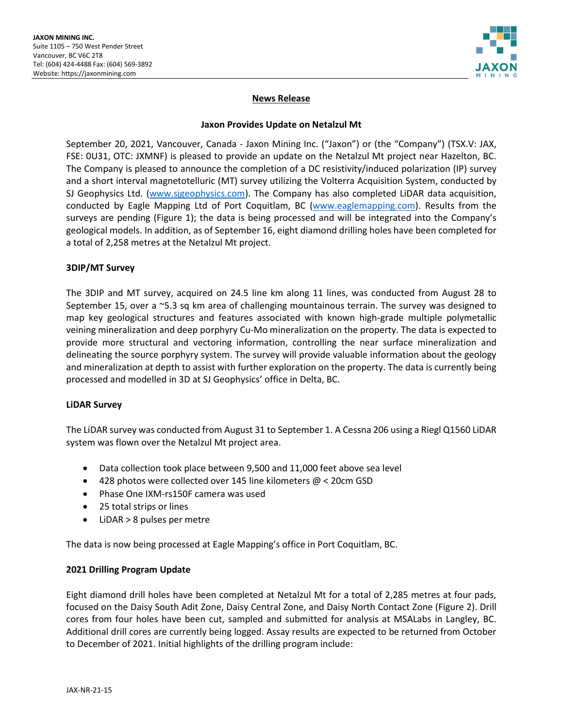

# **News Release**

### **Jaxon Provides Update on Netalzul Mt**

September 20, 2021, Vancouver, Canada - Jaxon Mining Inc. ("Jaxon") or (the "Company") (TSX.V: JAX, FSE: 0U31, OTC: JXMNF) is pleased to provide an update on the Netalzul Mt project near Hazelton, BC. The Company is pleased to announce the completion of a DC resistivity/induced polarization (IP) survey and a short interval magnetotelluric (MT) survey utilizing the Volterra Acquisition System, conducted by SJ Geophysics Ltd. [\(www.sjgeophysics.com\)](http://www.sjgeophysics.com/). The Company has also completed LiDAR data acquisition, conducted by Eagle Mapping Ltd of Port Coquitlam, BC [\(www.eaglemapping.com\)](http://www.eaglemapping.com/). Results from the surveys are pending (Figure 1); the data is being processed and will be integrated into the Company's geological models. In addition, as of September 16, eight diamond drilling holes have been completed for a total of 2,258 metres at the Netalzul Mt project.

## **3DIP/MT Survey**

The 3DIP and MT survey, acquired on 24.5 line km along 11 lines, was conducted from August 28 to September 15, over a ~5.3 sq km area of challenging mountainous terrain. The survey was designed to map key geological structures and features associated with known high-grade multiple polymetallic veining mineralization and deep porphyry Cu-Mo mineralization on the property. The data is expected to provide more structural and vectoring information, controlling the near surface mineralization and delineating the source porphyry system. The survey will provide valuable information about the geology and mineralization at depth to assist with further exploration on the property. The data is currently being processed and modelled in 3D at SJ Geophysics' office in Delta, BC.

### **LiDAR Survey**

The LiDAR survey was conducted from August 31 to September 1. A Cessna 206 using a Riegl Q1560 LiDAR system was flown over the Netalzul Mt project area.

- Data collection took place between 9,500 and 11,000 feet above sea level
- 428 photos were collected over 145 line kilometers @ < 20cm GSD
- Phase One IXM-rs150F camera was used
- 25 total strips or lines
- LiDAR > 8 pulses per metre

The data is now being processed at Eagle Mapping's office in Port Coquitlam, BC.

### **2021 Drilling Program Update**

Eight diamond drill holes have been completed at Netalzul Mt for a total of 2,285 metres at four pads, focused on the Daisy South Adit Zone, Daisy Central Zone, and Daisy North Contact Zone (Figure 2). Drill cores from four holes have been cut, sampled and submitted for analysis at MSALabs in Langley, BC. Additional drill cores are currently being logged. Assay results are expected to be returned from October to December of 2021. Initial highlights of the drilling program include: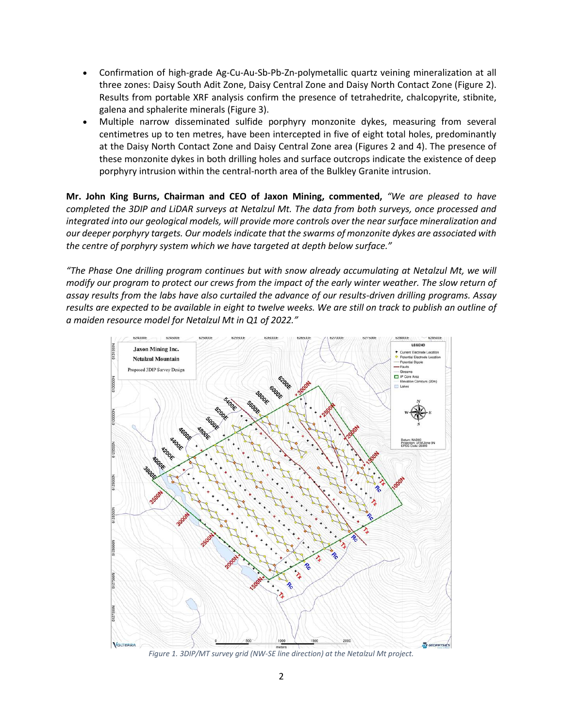- Confirmation of high-grade Ag-Cu-Au-Sb-Pb-Zn-polymetallic quartz veining mineralization at all three zones: Daisy South Adit Zone, Daisy Central Zone and Daisy North Contact Zone (Figure 2). Results from portable XRF analysis confirm the presence of tetrahedrite, chalcopyrite, stibnite, galena and sphalerite minerals (Figure 3).
- Multiple narrow disseminated sulfide porphyry monzonite dykes, measuring from several centimetres up to ten metres, have been intercepted in five of eight total holes, predominantly at the Daisy North Contact Zone and Daisy Central Zone area (Figures 2 and 4). The presence of these monzonite dykes in both drilling holes and surface outcrops indicate the existence of deep porphyry intrusion within the central-north area of the Bulkley Granite intrusion.

**Mr. John King Burns, Chairman and CEO of Jaxon Mining, commented,** *"We are pleased to have completed the 3DIP and LiDAR surveys at Netalzul Mt. The data from both surveys, once processed and integrated into our geological models, will provide more controls over the near surface mineralization and our deeper porphyry targets. Our models indicate that the swarms of monzonite dykes are associated with the centre of porphyry system which we have targeted at depth below surface."*

*"The Phase One drilling program continues but with snow already accumulating at Netalzul Mt, we will modify our program to protect our crews from the impact of the early winter weather. The slow return of assay results from the labs have also curtailed the advance of our results-driven drilling programs. Assay results are expected to be available in eight to twelve weeks. We are still on track to publish an outline of a maiden resource model for Netalzul Mt in Q1 of 2022."*



*Figure 1. 3DIP/MT survey grid (NW-SE line direction) at the Netalzul Mt project.*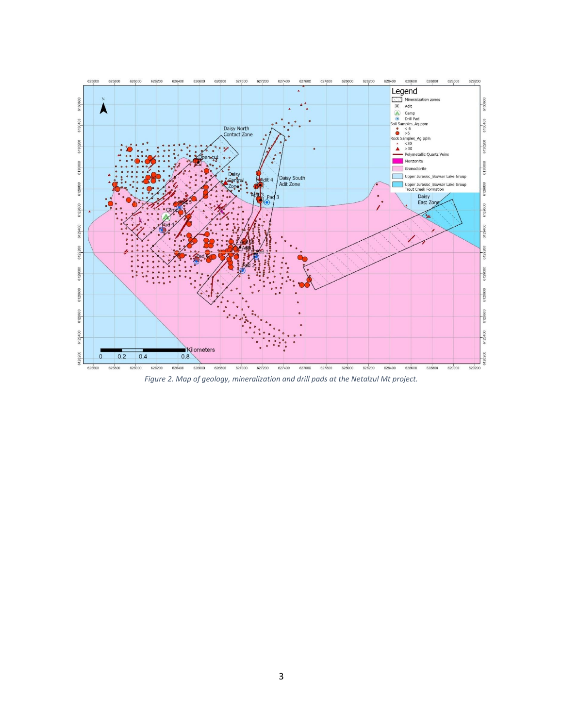

*Figure 2. Map of geology, mineralization and drill pads at the Netalzul Mt project.*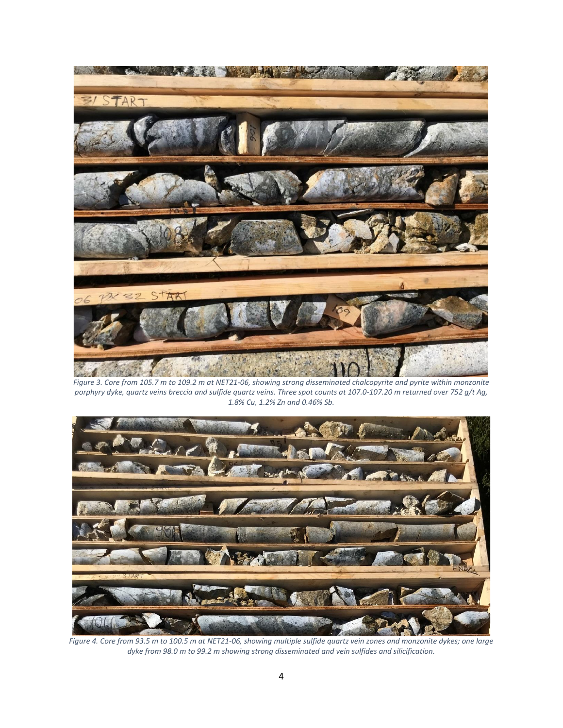

*Figure 3. Core from 105.7 m to 109.2 m at NET21-06, showing strong disseminated chalcopyrite and pyrite within monzonite porphyry dyke, quartz veins breccia and sulfide quartz veins. Three spot counts at 107.0-107.20 m returned over 752 g/t Ag, 1.8% Cu, 1.2% Zn and 0.46% Sb.*



*Figure 4. Core from 93.5 m to 100.5 m at NET21-06, showing multiple sulfide quartz vein zones and monzonite dykes; one large dyke from 98.0 m to 99.2 m showing strong disseminated and vein sulfides and silicification.*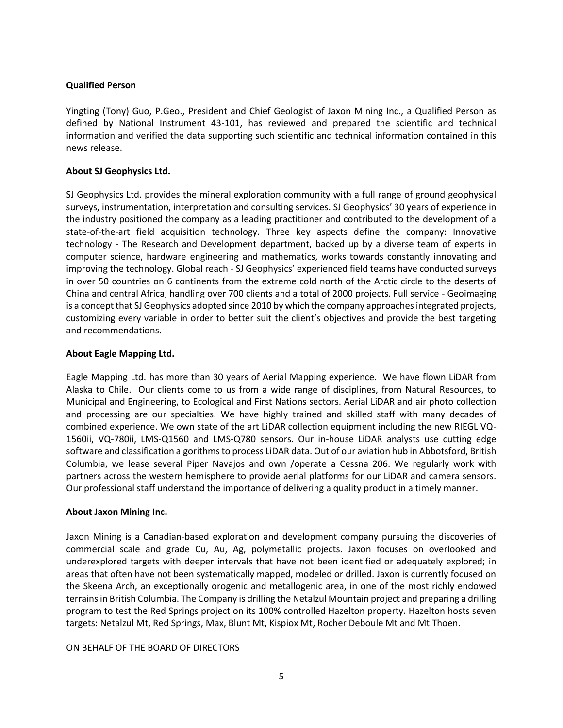# **Qualified Person**

Yingting (Tony) Guo, P.Geo., President and Chief Geologist of Jaxon Mining Inc., a Qualified Person as defined by National Instrument 43-101, has reviewed and prepared the scientific and technical information and verified the data supporting such scientific and technical information contained in this news release.

## **About SJ Geophysics Ltd.**

SJ Geophysics Ltd. provides the mineral exploration community with a full range of ground geophysical surveys, instrumentation, interpretation and consulting services. SJ Geophysics' 30 years of experience in the industry positioned the company as a leading practitioner and contributed to the development of a state-of-the-art field acquisition technology. Three key aspects define the company: Innovative technology - The Research and Development department, backed up by a diverse team of experts in computer science, hardware engineering and mathematics, works towards constantly innovating and improving the technology. Global reach - SJ Geophysics' experienced field teams have conducted surveys in over 50 countries on 6 continents from the extreme cold north of the Arctic circle to the deserts of China and central Africa, handling over 700 clients and a total of 2000 projects. Full service - Geoimaging is a concept that SJ Geophysics adopted since 2010 by which the company approaches integrated projects, customizing every variable in order to better suit the client's objectives and provide the best targeting and recommendations.

## **About Eagle Mapping Ltd.**

Eagle Mapping Ltd. has more than 30 years of Aerial Mapping experience. We have flown LiDAR from Alaska to Chile. Our clients come to us from a wide range of disciplines, from Natural Resources, to Municipal and Engineering, to Ecological and First Nations sectors. Aerial LiDAR and air photo collection and processing are our specialties. We have highly trained and skilled staff with many decades of combined experience. We own state of the art LiDAR collection equipment including the new RIEGL VQ-1560ii, VQ-780ii, LMS-Q1560 and LMS-Q780 sensors. Our in-house LiDAR analysts use cutting edge software and classification algorithms to process LiDAR data. Out of our aviation hub in Abbotsford, British Columbia, we lease several Piper Navajos and own /operate a Cessna 206. We regularly work with partners across the western hemisphere to provide aerial platforms for our LiDAR and camera sensors. Our professional staff understand the importance of delivering a quality product in a timely manner.

### **About Jaxon Mining Inc.**

Jaxon Mining is a Canadian-based exploration and development company pursuing the discoveries of commercial scale and grade Cu, Au, Ag, polymetallic projects. Jaxon focuses on overlooked and underexplored targets with deeper intervals that have not been identified or adequately explored; in areas that often have not been systematically mapped, modeled or drilled. Jaxon is currently focused on the Skeena Arch, an exceptionally orogenic and metallogenic area, in one of the most richly endowed terrains in British Columbia. The Company is drilling the Netalzul Mountain project and preparing a drilling program to test the Red Springs project on its 100% controlled Hazelton property. Hazelton hosts seven targets: Netalzul Mt, Red Springs, Max, Blunt Mt, Kispiox Mt, Rocher Deboule Mt and Mt Thoen.

### ON BEHALF OF THE BOARD OF DIRECTORS